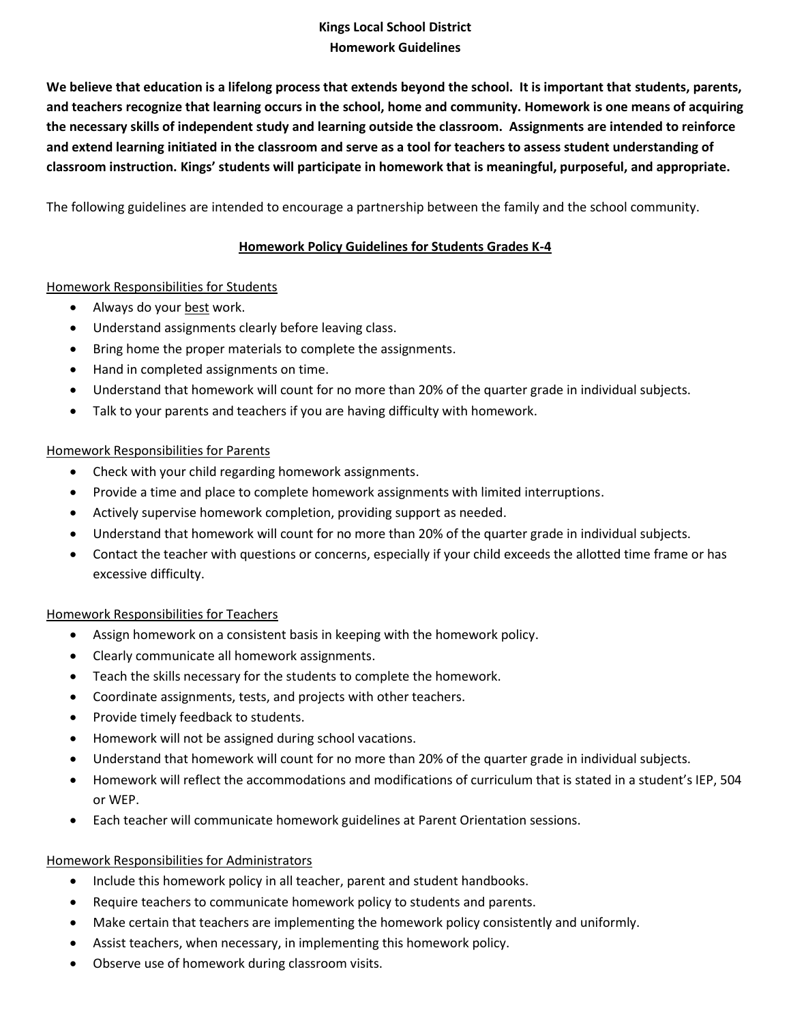## **Kings Local School District Homework Guidelines**

**We believe that education is a lifelong process that extends beyond the school. It is important that students, parents, and teachers recognize that learning occurs in the school, home and community. Homework is one means of acquiring the necessary skills of independent study and learning outside the classroom. Assignments are intended to reinforce and extend learning initiated in the classroom and serve as a tool for teachers to assess student understanding of classroom instruction. Kings' students will participate in homework that is meaningful, purposeful, and appropriate.**

The following guidelines are intended to encourage a partnership between the family and the school community.

## **Homework Policy Guidelines for Students Grades K-4**

#### Homework Responsibilities for Students

- Always do your best work.
- Understand assignments clearly before leaving class.
- Bring home the proper materials to complete the assignments.
- Hand in completed assignments on time.
- Understand that homework will count for no more than 20% of the quarter grade in individual subjects.
- Talk to your parents and teachers if you are having difficulty with homework.

#### Homework Responsibilities for Parents

- Check with your child regarding homework assignments.
- Provide a time and place to complete homework assignments with limited interruptions.
- Actively supervise homework completion, providing support as needed.
- Understand that homework will count for no more than 20% of the quarter grade in individual subjects.
- Contact the teacher with questions or concerns, especially if your child exceeds the allotted time frame or has excessive difficulty.

## Homework Responsibilities for Teachers

- Assign homework on a consistent basis in keeping with the homework policy.
- Clearly communicate all homework assignments.
- Teach the skills necessary for the students to complete the homework.
- Coordinate assignments, tests, and projects with other teachers.
- Provide timely feedback to students.
- Homework will not be assigned during school vacations.
- Understand that homework will count for no more than 20% of the quarter grade in individual subjects.
- Homework will reflect the accommodations and modifications of curriculum that is stated in a student's IEP, 504 or WEP.
- Each teacher will communicate homework guidelines at Parent Orientation sessions.

## Homework Responsibilities for Administrators

- Include this homework policy in all teacher, parent and student handbooks.
- Require teachers to communicate homework policy to students and parents.
- Make certain that teachers are implementing the homework policy consistently and uniformly.
- Assist teachers, when necessary, in implementing this homework policy.
- Observe use of homework during classroom visits.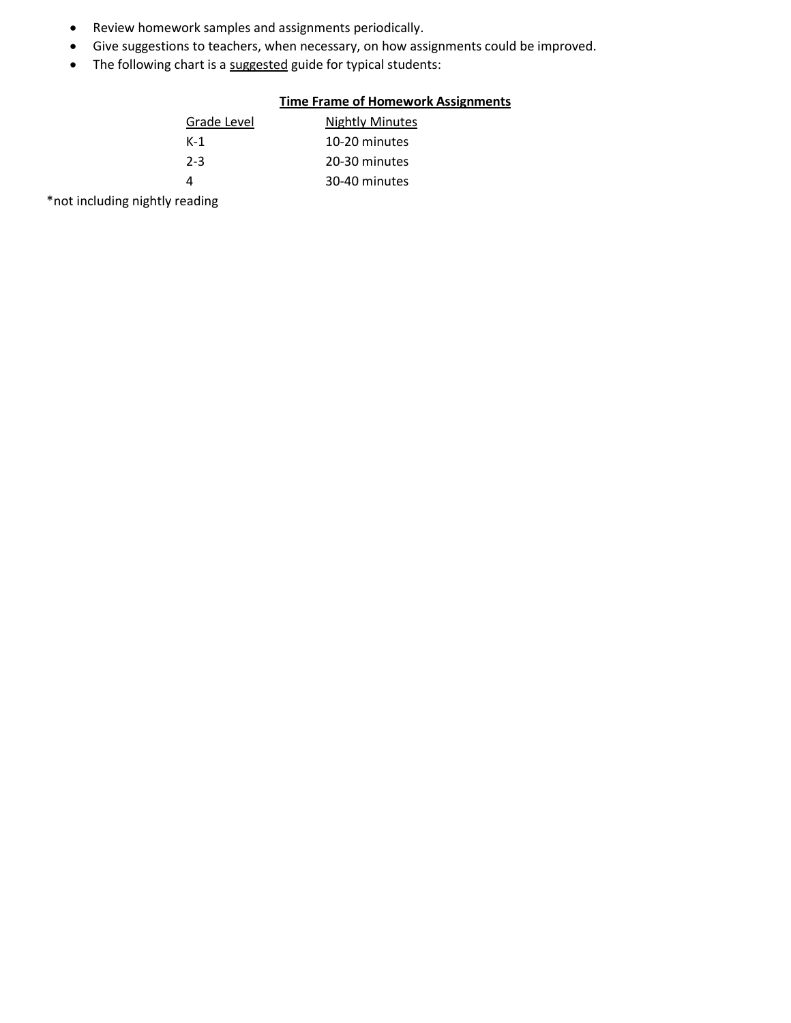- Review homework samples and assignments periodically.
- Give suggestions to teachers, when necessary, on how assignments could be improved.
- The following chart is a suggested guide for typical students:

# **Time Frame of Homework Assignments**

| Grade Level | <b>Nightly Minutes</b> |
|-------------|------------------------|
| K-1         | 10-20 minutes          |
| $2 - 3$     | 20-30 minutes          |
|             | 30-40 minutes          |

\*not including nightly reading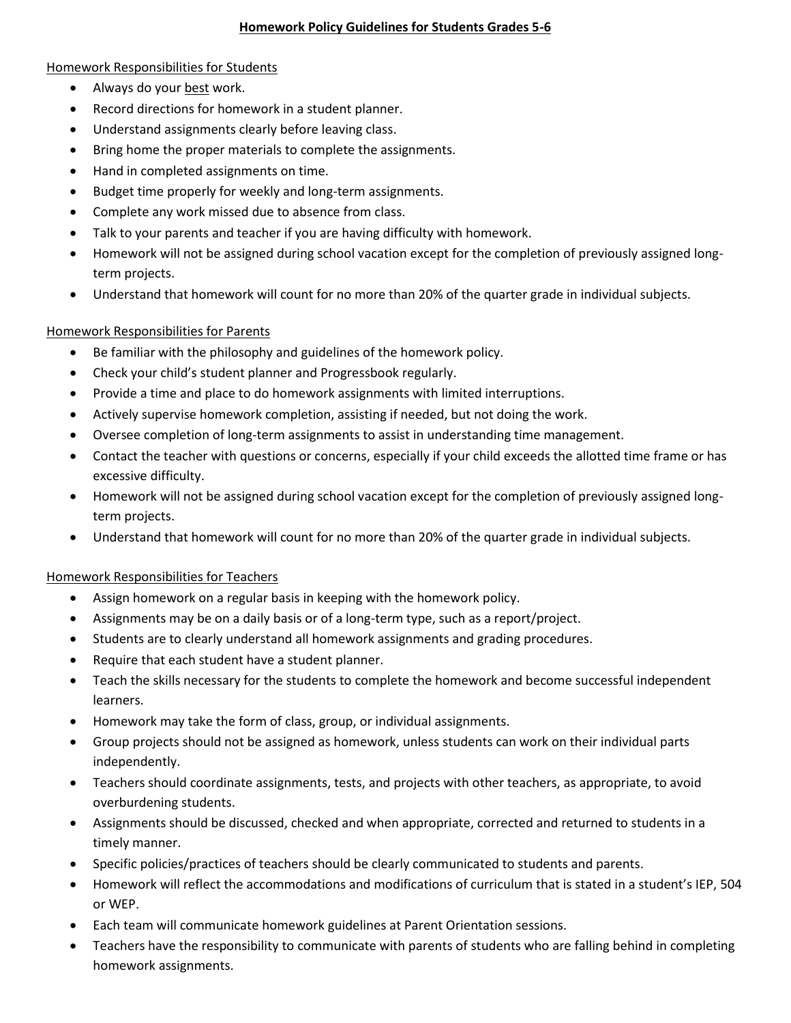#### **Homework Policy Guidelines for Students Grades 5-6**

#### Homework Responsibilities for Students

- Always do your best work.
- Record directions for homework in a student planner.
- Understand assignments clearly before leaving class.
- Bring home the proper materials to complete the assignments.
- Hand in completed assignments on time.
- Budget time properly for weekly and long-term assignments.
- Complete any work missed due to absence from class.
- Talk to your parents and teacher if you are having difficulty with homework.
- Homework will not be assigned during school vacation except for the completion of previously assigned longterm projects.
- Understand that homework will count for no more than 20% of the quarter grade in individual subjects.

## Homework Responsibilities for Parents

- Be familiar with the philosophy and guidelines of the homework policy.
- Check your child's student planner and Progressbook regularly.
- Provide a time and place to do homework assignments with limited interruptions.
- Actively supervise homework completion, assisting if needed, but not doing the work.
- Oversee completion of long-term assignments to assist in understanding time management.
- Contact the teacher with questions or concerns, especially if your child exceeds the allotted time frame or has excessive difficulty.
- Homework will not be assigned during school vacation except for the completion of previously assigned longterm projects.
- Understand that homework will count for no more than 20% of the quarter grade in individual subjects.

## Homework Responsibilities for Teachers

- Assign homework on a regular basis in keeping with the homework policy.
- Assignments may be on a daily basis or of a long-term type, such as a report/project.
- Students are to clearly understand all homework assignments and grading procedures.
- Require that each student have a student planner.
- Teach the skills necessary for the students to complete the homework and become successful independent learners.
- Homework may take the form of class, group, or individual assignments.
- Group projects should not be assigned as homework, unless students can work on their individual parts independently.
- Teachers should coordinate assignments, tests, and projects with other teachers, as appropriate, to avoid overburdening students.
- Assignments should be discussed, checked and when appropriate, corrected and returned to students in a timely manner.
- Specific policies/practices of teachers should be clearly communicated to students and parents.
- Homework will reflect the accommodations and modifications of curriculum that is stated in a student's IEP, 504 or WEP.
- Each team will communicate homework guidelines at Parent Orientation sessions.
- Teachers have the responsibility to communicate with parents of students who are falling behind in completing homework assignments.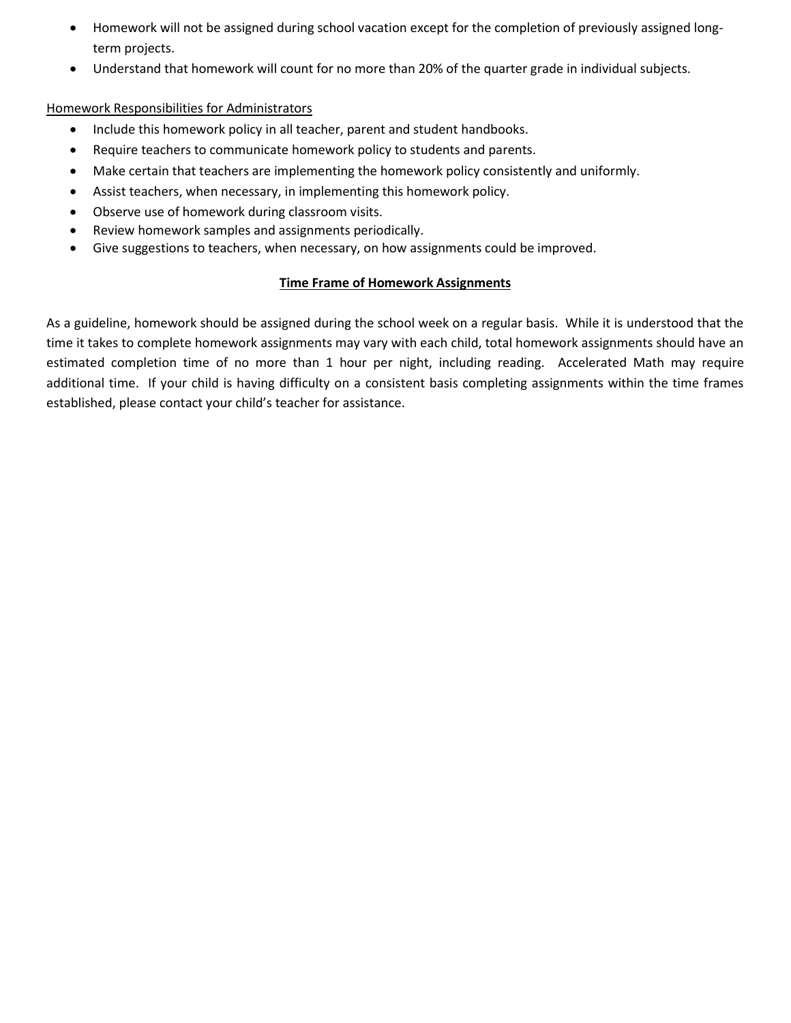- Homework will not be assigned during school vacation except for the completion of previously assigned longterm projects.
- Understand that homework will count for no more than 20% of the quarter grade in individual subjects.

### Homework Responsibilities for Administrators

- Include this homework policy in all teacher, parent and student handbooks.
- Require teachers to communicate homework policy to students and parents.
- Make certain that teachers are implementing the homework policy consistently and uniformly.
- Assist teachers, when necessary, in implementing this homework policy.
- Observe use of homework during classroom visits.
- Review homework samples and assignments periodically.
- Give suggestions to teachers, when necessary, on how assignments could be improved.

## **Time Frame of Homework Assignments**

As a guideline, homework should be assigned during the school week on a regular basis. While it is understood that the time it takes to complete homework assignments may vary with each child, total homework assignments should have an estimated completion time of no more than 1 hour per night, including reading. Accelerated Math may require additional time. If your child is having difficulty on a consistent basis completing assignments within the time frames established, please contact your child's teacher for assistance.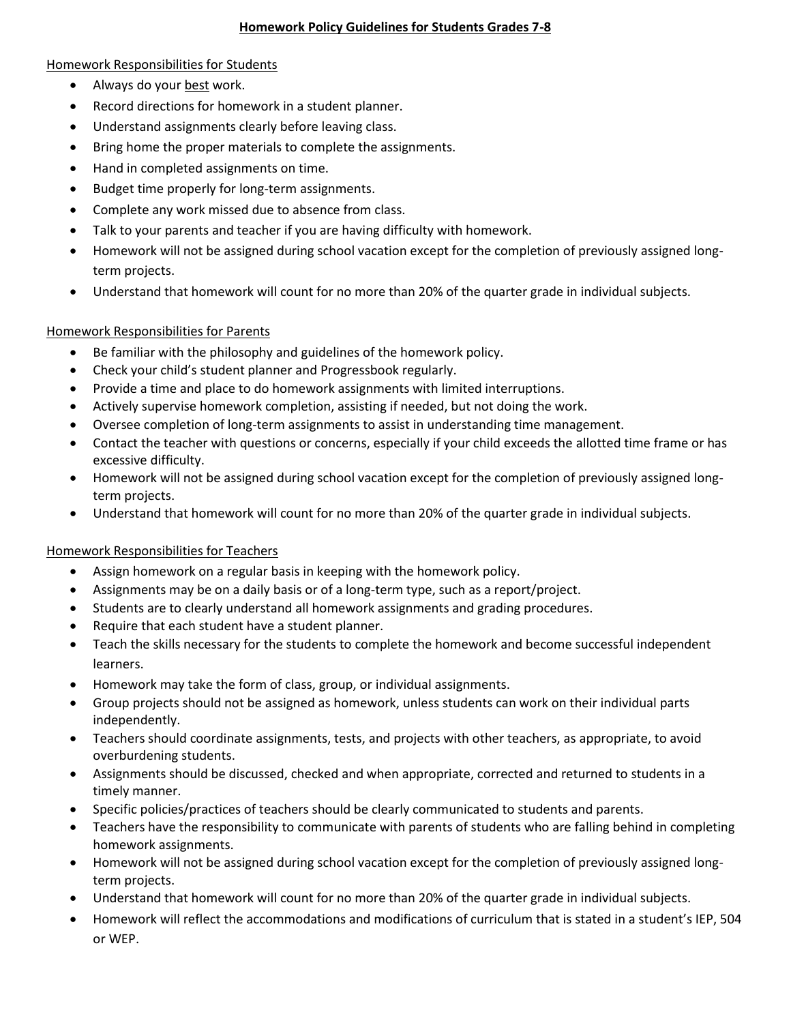#### **Homework Policy Guidelines for Students Grades 7-8**

#### Homework Responsibilities for Students

- Always do your best work.
- Record directions for homework in a student planner.
- Understand assignments clearly before leaving class.
- Bring home the proper materials to complete the assignments.
- Hand in completed assignments on time.
- Budget time properly for long-term assignments.
- Complete any work missed due to absence from class.
- Talk to your parents and teacher if you are having difficulty with homework.
- Homework will not be assigned during school vacation except for the completion of previously assigned longterm projects.
- Understand that homework will count for no more than 20% of the quarter grade in individual subjects.

#### Homework Responsibilities for Parents

- Be familiar with the philosophy and guidelines of the homework policy.
- Check your child's student planner and Progressbook regularly.
- Provide a time and place to do homework assignments with limited interruptions.
- Actively supervise homework completion, assisting if needed, but not doing the work.
- Oversee completion of long-term assignments to assist in understanding time management.
- Contact the teacher with questions or concerns, especially if your child exceeds the allotted time frame or has excessive difficulty.
- Homework will not be assigned during school vacation except for the completion of previously assigned longterm projects.
- Understand that homework will count for no more than 20% of the quarter grade in individual subjects.

## Homework Responsibilities for Teachers

- Assign homework on a regular basis in keeping with the homework policy.
- Assignments may be on a daily basis or of a long-term type, such as a report/project.
- Students are to clearly understand all homework assignments and grading procedures.
- Require that each student have a student planner.
- Teach the skills necessary for the students to complete the homework and become successful independent learners.
- Homework may take the form of class, group, or individual assignments.
- Group projects should not be assigned as homework, unless students can work on their individual parts independently.
- Teachers should coordinate assignments, tests, and projects with other teachers, as appropriate, to avoid overburdening students.
- Assignments should be discussed, checked and when appropriate, corrected and returned to students in a timely manner.
- Specific policies/practices of teachers should be clearly communicated to students and parents.
- Teachers have the responsibility to communicate with parents of students who are falling behind in completing homework assignments.
- Homework will not be assigned during school vacation except for the completion of previously assigned longterm projects.
- Understand that homework will count for no more than 20% of the quarter grade in individual subjects.
- Homework will reflect the accommodations and modifications of curriculum that is stated in a student's IEP, 504 or WEP.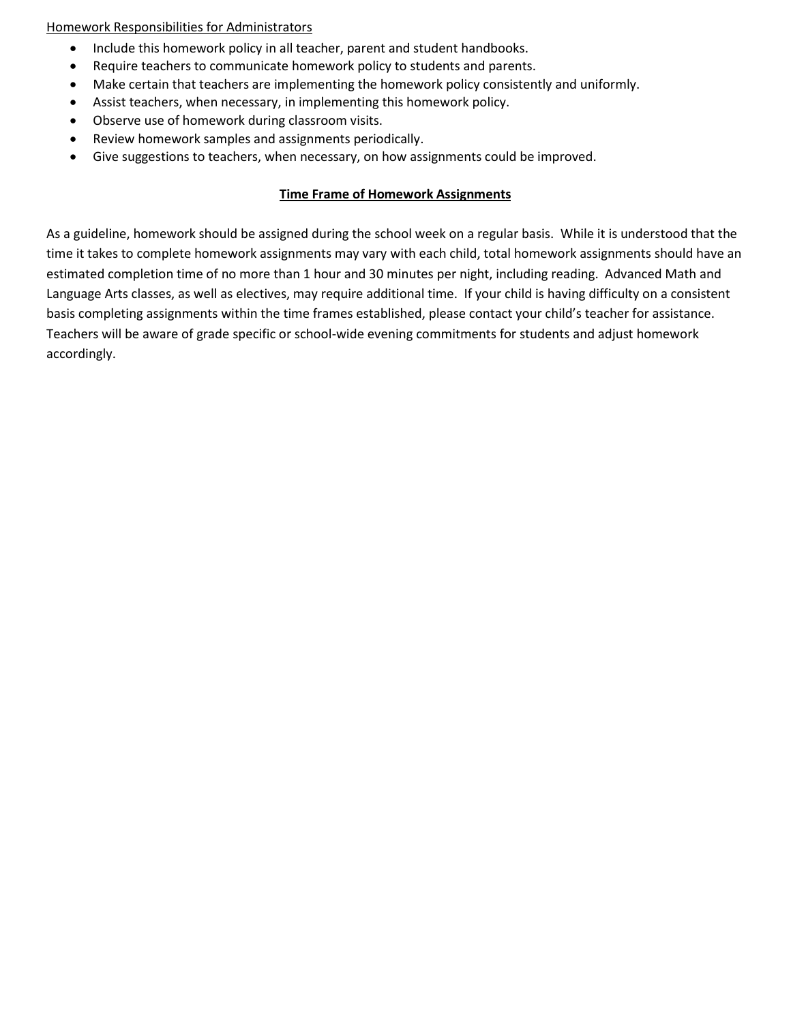#### Homework Responsibilities for Administrators

- Include this homework policy in all teacher, parent and student handbooks.
- Require teachers to communicate homework policy to students and parents.
- Make certain that teachers are implementing the homework policy consistently and uniformly.
- Assist teachers, when necessary, in implementing this homework policy.
- Observe use of homework during classroom visits.
- Review homework samples and assignments periodically.
- Give suggestions to teachers, when necessary, on how assignments could be improved.

#### **Time Frame of Homework Assignments**

As a guideline, homework should be assigned during the school week on a regular basis. While it is understood that the time it takes to complete homework assignments may vary with each child, total homework assignments should have an estimated completion time of no more than 1 hour and 30 minutes per night, including reading. Advanced Math and Language Arts classes, as well as electives, may require additional time. If your child is having difficulty on a consistent basis completing assignments within the time frames established, please contact your child's teacher for assistance. Teachers will be aware of grade specific or school-wide evening commitments for students and adjust homework accordingly.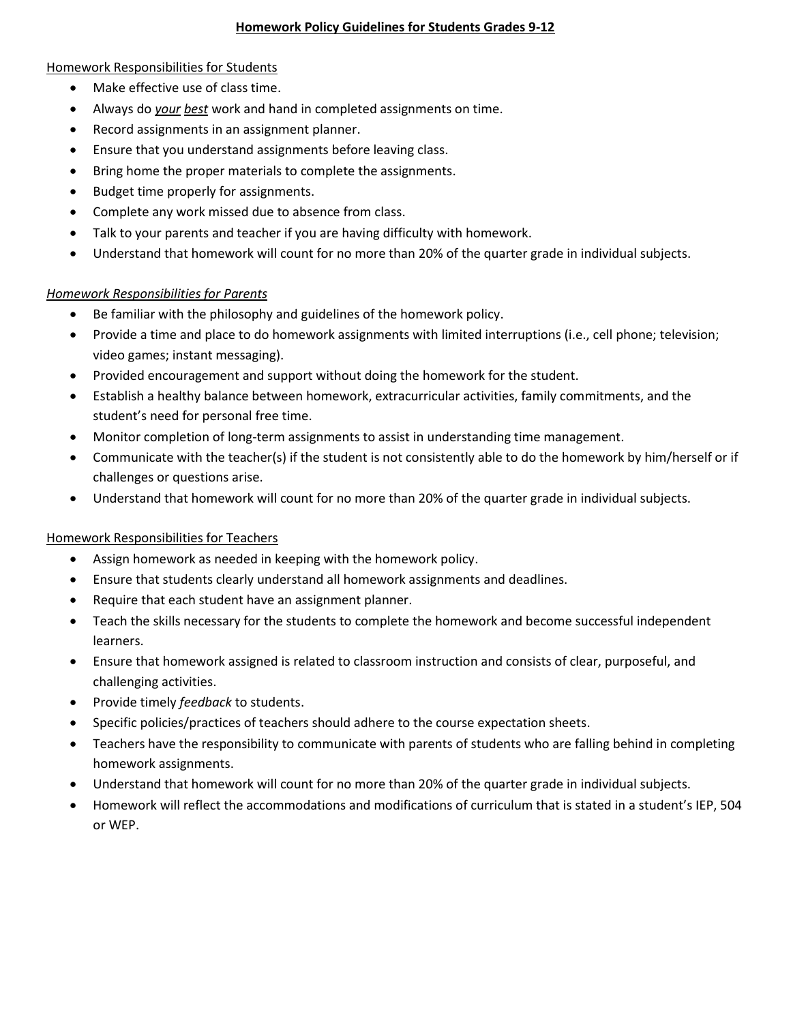#### **Homework Policy Guidelines for Students Grades 9-12**

#### Homework Responsibilities for Students

- Make effective use of class time.
- Always do *your best* work and hand in completed assignments on time.
- Record assignments in an assignment planner.
- Ensure that you understand assignments before leaving class.
- Bring home the proper materials to complete the assignments.
- Budget time properly for assignments.
- Complete any work missed due to absence from class.
- Talk to your parents and teacher if you are having difficulty with homework.
- Understand that homework will count for no more than 20% of the quarter grade in individual subjects.

#### *Homework Responsibilities for Parents*

- Be familiar with the philosophy and guidelines of the homework policy.
- Provide a time and place to do homework assignments with limited interruptions (i.e., cell phone; television; video games; instant messaging).
- Provided encouragement and support without doing the homework for the student.
- Establish a healthy balance between homework, extracurricular activities, family commitments, and the student's need for personal free time.
- Monitor completion of long-term assignments to assist in understanding time management.
- Communicate with the teacher(s) if the student is not consistently able to do the homework by him/herself or if challenges or questions arise.
- Understand that homework will count for no more than 20% of the quarter grade in individual subjects.

## Homework Responsibilities for Teachers

- Assign homework as needed in keeping with the homework policy.
- Ensure that students clearly understand all homework assignments and deadlines.
- Require that each student have an assignment planner.
- Teach the skills necessary for the students to complete the homework and become successful independent learners.
- Ensure that homework assigned is related to classroom instruction and consists of clear, purposeful, and challenging activities.
- Provide timely *feedback* to students.
- Specific policies/practices of teachers should adhere to the course expectation sheets.
- Teachers have the responsibility to communicate with parents of students who are falling behind in completing homework assignments.
- Understand that homework will count for no more than 20% of the quarter grade in individual subjects.
- Homework will reflect the accommodations and modifications of curriculum that is stated in a student's IEP, 504 or WEP.